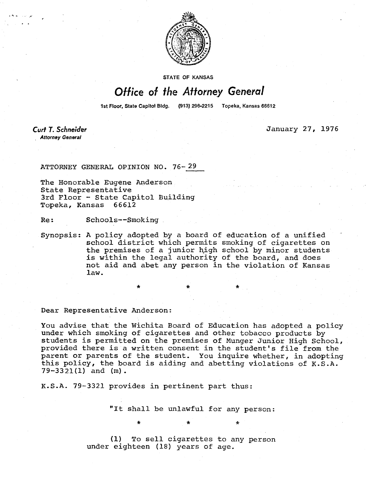

STATE OF KANSAS

## Office of the Attorney General

1st Floor, State Capitol Bldg. (913) 296-2215 Topeka, Kansas 66612

**Curt T. Schneider Attorney General** 

January 27, 1976

ATTORNEY GENERAL OPINION NO. 76-29

The Honorable Eugene Anderson State Representative 3rd Floor - State Capitol Building Topeka, Kansas 66612

Re: Schools--Smoking

Synopsis: A policy adopted by a board of education of a unified school district which permits smoking of cigarettes on the premises of a junior high school by minor students is within the legal authority of the board, and does not aid and abet any person in the violation of Kansas law.

Dear Representative Anderson:

You advise that the Wichita Board of Education has adopted a policy under which smoking of cigarettes and other tobacco products by students is permitted on the premises of Munger Junior High School, provided there is a written consent in the student's file from the parent or parents of the student. You inquire whether, in adopting this policy, the board is aiding and abetting violations of K.S.A. 79-3321(1) and (m).

K.S.A. 79-3321 provides in pertinent part thus:

"It shall be unlawful for any person:

\* \* \*

(1) To sell cigarettes to any person under eighteen (18) years of age.